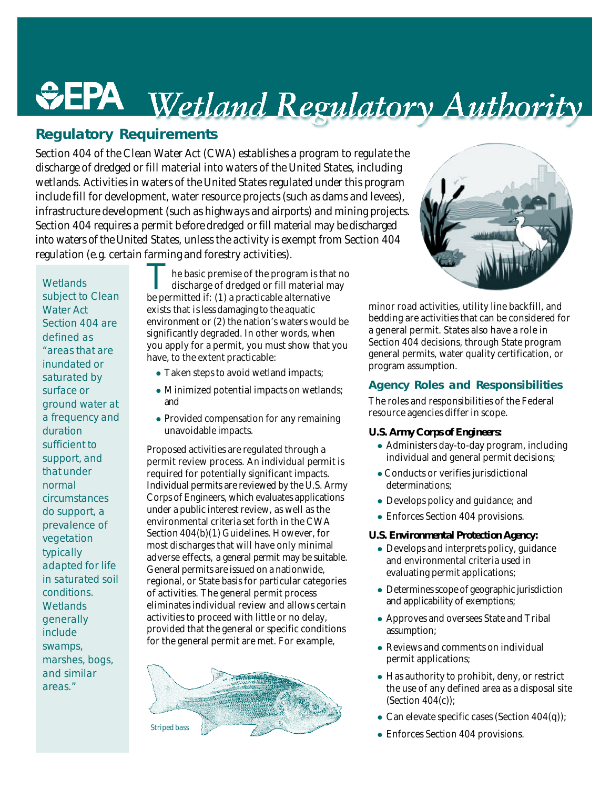# *<u><del>Repulatory Requirements</del>* Regulatory Authority</u>

*Section 404 of the Clean Water Act (CWA) establishes a program to regulate the discharge of dredged or fill material into waters of the United States, including wetlands. Activities in waters of the United States regulated under this program include fill for development, water resource projects (such as dams and levees), infrastructure development (such as highways and airports) and mining projects. Section 404 requires a permit before dredged or fill material may be discharged into waters of the United States, unless the activity is exempt from Section 404 regulation (e.g. certain farming and forestry activities).*

**Wetlands** subject to Clean Water Act Section 404 are defined as "areas that are inundated or saturated by surface or ground water at a frequency and duration sufficient to support, and that under normal circumstances do support, a prevalence of vegetation typically adapted for life in saturated soil conditions. **Wetlands** generally include swamps, marshes, bogs, and similar areas."

The basic premise of the program is that discharge of dredged or fill material no be permitted if: (1) a practicable alternative he basic premise of the program is that no discharge of dredged or fill material may exists that is less damaging to the aquatic environment or (2) the nation's waters would be significantly degraded. In other words, when you apply for a permit, you must show that you have, to the extent practicable:

- Taken steps to avoid wetland impacts;
- Minimized potential impacts on wetlands; and
- $\bullet$  Provided compensation for any remaining unavoidable impacts.

Proposed activities are regulated through a permit review process. An *individual permit* is required for potentially significant impacts. Individual permits are reviewed by the U.S. Army Corps of Engineers, which evaluates applications under a public interest review, as well as the environmental criteria set forth in the CWA Section 404(b)(1) Guidelines. However, for most discharges that will have only minimal adverse effects, a *general permit* may be suitable. General permits are issued on a nationwide, regional, or State basis for particular categories of activities. The general permit process eliminates individual review and allows certain activities to proceed with little or no delay, provided that the general or specific conditions for the general permit are met. For example,





minor road activities, utility line backfill, and bedding are activities that can be considered for a general permit. States also have a role in Section 404 decisions, through State program general permits, water quality certification, or program assumption.

#### **Agency Roles and Responsibilities**

The roles and responsibilities of the Federal resource agencies differ in scope.

#### *U.S. Army Corps of Engineers:*

- Administers day-to-day program, including individual and general permit decisions;
- Conducts or verifies jurisdictional determinations;
- Develops policy and guidance; and
- Enforces Section 404 provisions.

#### *U.S. Environmental Protection Agency:*

- $\bullet$  Develops and interprets policy, guidance and environmental criteria used in evaluating permit applications;
- Determines scope of geographic jurisdiction and applicability of exemptions;
- Approves and oversees State and Tribal assumption;
- $\bullet$  Reviews and comments on individual permit applications;
- $\bullet$  Has authority to prohibit, deny, or restrict the use of any defined area as a disposal site (Section 404(c));
- Can elevate specific cases (Section  $404(q)$ );
- Enforces Section 404 provisions.